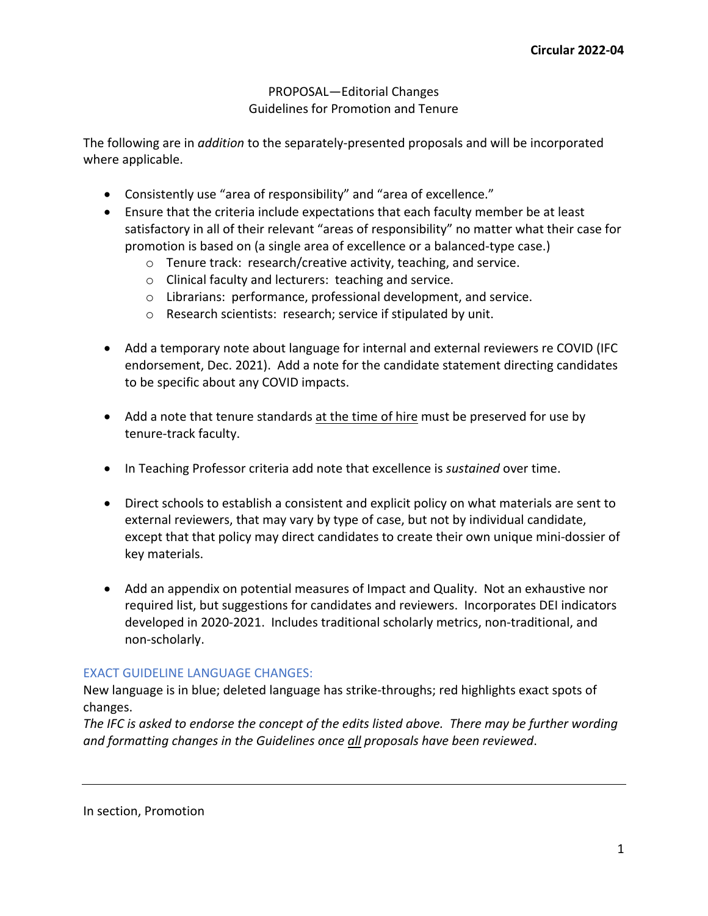## PROPOSAL—Editorial Changes Guidelines for Promotion and Tenure

The following are in *addition* to the separately-presented proposals and will be incorporated where applicable.

- Consistently use "area of responsibility" and "area of excellence."
- Ensure that the criteria include expectations that each faculty member be at least satisfactory in all of their relevant "areas of responsibility" no matter what their case for promotion is based on (a single area of excellence or a balanced-type case.)
	- o Tenure track: research/creative activity, teaching, and service.
	- o Clinical faculty and lecturers: teaching and service.
	- o Librarians: performance, professional development, and service.
	- o Research scientists: research; service if stipulated by unit.
- Add a temporary note about language for internal and external reviewers re COVID (IFC endorsement, Dec. 2021). Add a note for the candidate statement directing candidates to be specific about any COVID impacts.
- Add a note that tenure standards at the time of hire must be preserved for use by tenure-track faculty.
- In Teaching Professor criteria add note that excellence is *sustained* over time.
- Direct schools to establish a consistent and explicit policy on what materials are sent to external reviewers, that may vary by type of case, but not by individual candidate, except that that policy may direct candidates to create their own unique mini-dossier of key materials.
- Add an appendix on potential measures of Impact and Quality. Not an exhaustive nor required list, but suggestions for candidates and reviewers. Incorporates DEI indicators developed in 2020-2021. Includes traditional scholarly metrics, non-traditional, and non-scholarly.

# EXACT GUIDELINE LANGUAGE CHANGES:

New language is in blue; deleted language has strike-throughs; red highlights exact spots of changes.

*The IFC is asked to endorse the concept of the edits listed above. There may be further wording and formatting changes in the Guidelines once all proposals have been reviewed*.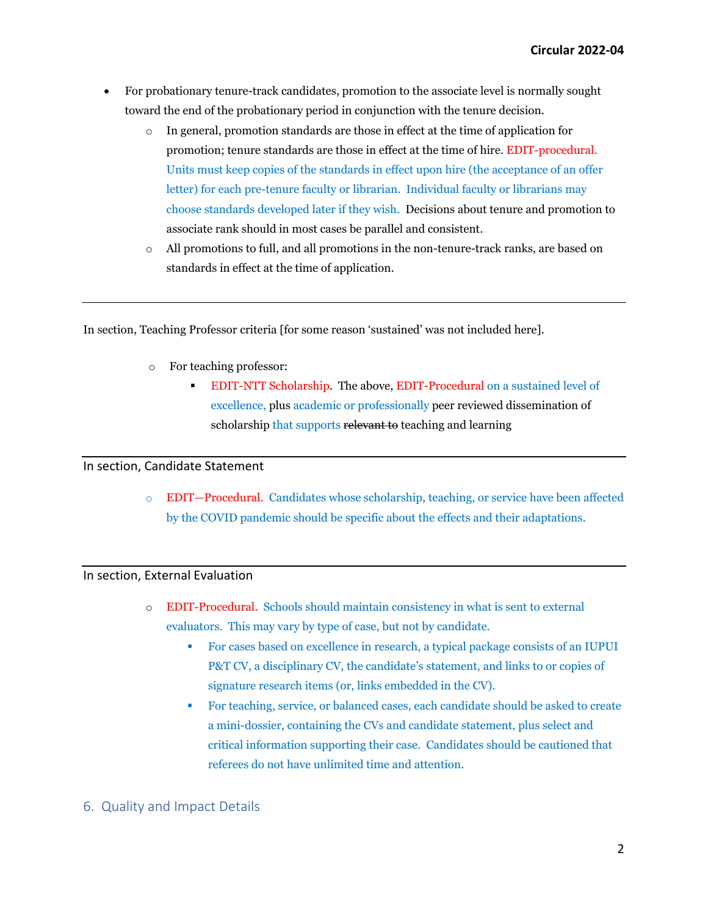- For probationary tenure-track candidates, promotion to the associate level is normally sought toward the end of the probationary period in conjunction with the tenure decision.
	- o In general, promotion standards are those in effect at the time of application for promotion; tenure standards are those in effect at the time of hire. EDIT-procedural. Units must keep copies of the standards in effect upon hire (the acceptance of an offer letter) for each pre-tenure faculty or librarian. Individual faculty or librarians may choose standards developed later if they wish. Decisions about tenure and promotion to associate rank should in most cases be parallel and consistent.
	- o All promotions to full, and all promotions in the non-tenure-track ranks, are based on standards in effect at the time of application.

In section, Teaching Professor criteria [for some reason 'sustained' was not included here].

- o For teaching professor:
	- EDIT-NTT Scholarship. The above, EDIT-Procedural on a sustained level of excellence, plus academic or professionally peer reviewed dissemination of scholarship that supports relevant to teaching and learning

## In section, Candidate Statement

o EDIT—Procedural. Candidates whose scholarship, teaching, or service have been affected by the COVID pandemic should be specific about the effects and their adaptations.

## In section, External Evaluation

- o EDIT-Procedural. Schools should maintain consistency in what is sent to external evaluators. This may vary by type of case, but not by candidate.
	- For cases based on excellence in research, a typical package consists of an IUPUI P&T CV, a disciplinary CV, the candidate's statement, and links to or copies of signature research items (or, links embedded in the CV).
	- For teaching, service, or balanced cases, each candidate should be asked to create a mini-dossier, containing the CVs and candidate statement, plus select and critical information supporting their case. Candidates should be cautioned that referees do not have unlimited time and attention.

## 6. Quality and Impact Details